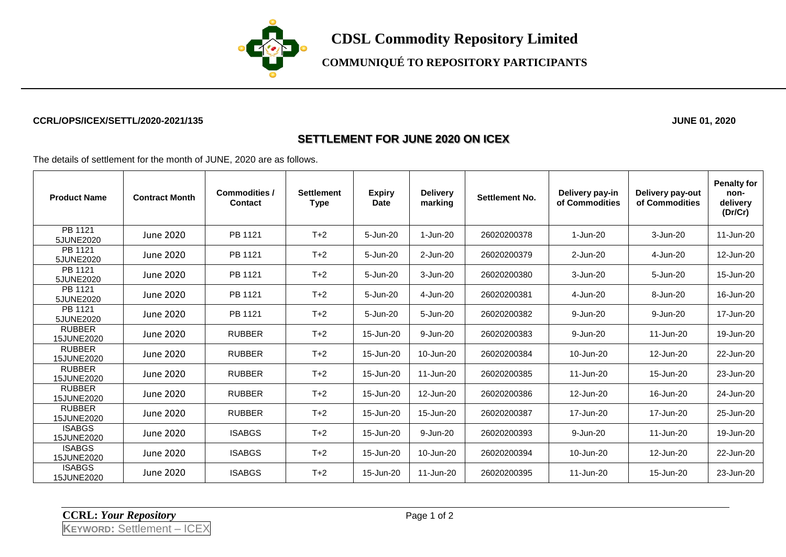

**CDSL Commodity Repository Limited**

# **COMMUNIQUÉ TO REPOSITORY PARTICIPANTS**

#### **CCRL/OPS/ICEX/SETTL/2020-2021/135 JUNE 01, 2020**

### **SETTLEMENT FOR JUNE 2020 ON ICEX**

The details of settlement for the month of JUNE, 2020 are as follows.

| <b>Product Name</b>         | <b>Contract Month</b> | <b>Commodities /</b><br><b>Contact</b> | <b>Settlement</b><br><b>Type</b> | <b>Expiry</b><br><b>Date</b> | <b>Delivery</b><br>marking | <b>Settlement No.</b> | Delivery pay-in<br>of Commodities | Delivery pay-out<br>of Commodities | <b>Penalty for</b><br>non-<br>delivery<br>(Dr/Cr) |
|-----------------------------|-----------------------|----------------------------------------|----------------------------------|------------------------------|----------------------------|-----------------------|-----------------------------------|------------------------------------|---------------------------------------------------|
| PB 1121<br>5JUNE2020        | June 2020             | PB 1121                                | $T+2$                            | 5-Jun-20                     | 1-Jun-20                   | 26020200378           | 1-Jun-20                          | 3-Jun-20                           | 11-Jun-20                                         |
| PB 1121<br>5JUNE2020        | June 2020             | PB 1121                                | $T+2$                            | 5-Jun-20                     | 2-Jun-20                   | 26020200379           | 2-Jun-20                          | 4-Jun-20                           | 12-Jun-20                                         |
| PB 1121<br>5JUNE2020        | June 2020             | PB 1121                                | $T+2$                            | 5-Jun-20                     | 3-Jun-20                   | 26020200380           | 3-Jun-20                          | 5-Jun-20                           | 15-Jun-20                                         |
| PB 1121<br>5JUNE2020        | June 2020             | PB 1121                                | $T+2$                            | 5-Jun-20                     | 4-Jun-20                   | 26020200381           | 4-Jun-20                          | 8-Jun-20                           | 16-Jun-20                                         |
| PB 1121<br>5JUNE2020        | June 2020             | PB 1121                                | $T+2$                            | 5-Jun-20                     | 5-Jun-20                   | 26020200382           | 9-Jun-20                          | 9-Jun-20                           | 17-Jun-20                                         |
| <b>RUBBER</b><br>15JUNE2020 | June 2020             | <b>RUBBER</b>                          | $T+2$                            | 15-Jun-20                    | 9-Jun-20                   | 26020200383           | 9-Jun-20                          | 11-Jun-20                          | 19-Jun-20                                         |
| <b>RUBBER</b><br>15JUNE2020 | June 2020             | <b>RUBBER</b>                          | $T+2$                            | 15-Jun-20                    | 10-Jun-20                  | 26020200384           | 10-Jun-20                         | 12-Jun-20                          | 22-Jun-20                                         |
| <b>RUBBER</b><br>15JUNE2020 | June 2020             | <b>RUBBER</b>                          | $T+2$                            | 15-Jun-20                    | 11-Jun-20                  | 26020200385           | 11-Jun-20                         | 15-Jun-20                          | 23-Jun-20                                         |
| <b>RUBBER</b><br>15JUNE2020 | June 2020             | <b>RUBBER</b>                          | $T+2$                            | 15-Jun-20                    | 12-Jun-20                  | 26020200386           | 12-Jun-20                         | 16-Jun-20                          | 24-Jun-20                                         |
| <b>RUBBER</b><br>15JUNE2020 | June 2020             | <b>RUBBER</b>                          | $T+2$                            | 15-Jun-20                    | 15-Jun-20                  | 26020200387           | 17-Jun-20                         | 17-Jun-20                          | 25-Jun-20                                         |
| <b>ISABGS</b><br>15JUNE2020 | June 2020             | <b>ISABGS</b>                          | $T+2$                            | 15-Jun-20                    | 9-Jun-20                   | 26020200393           | 9-Jun-20                          | 11-Jun-20                          | 19-Jun-20                                         |
| <b>ISABGS</b><br>15JUNE2020 | June 2020             | <b>ISABGS</b>                          | $T+2$                            | 15-Jun-20                    | 10-Jun-20                  | 26020200394           | 10-Jun-20                         | 12-Jun-20                          | 22-Jun-20                                         |
| <b>ISABGS</b><br>15JUNE2020 | June 2020             | <b>ISABGS</b>                          | $T+2$                            | 15-Jun-20                    | 11-Jun-20                  | 26020200395           | 11-Jun-20                         | 15-Jun-20                          | 23-Jun-20                                         |

**CCRL:** *Your Repository* Page 1 of 2